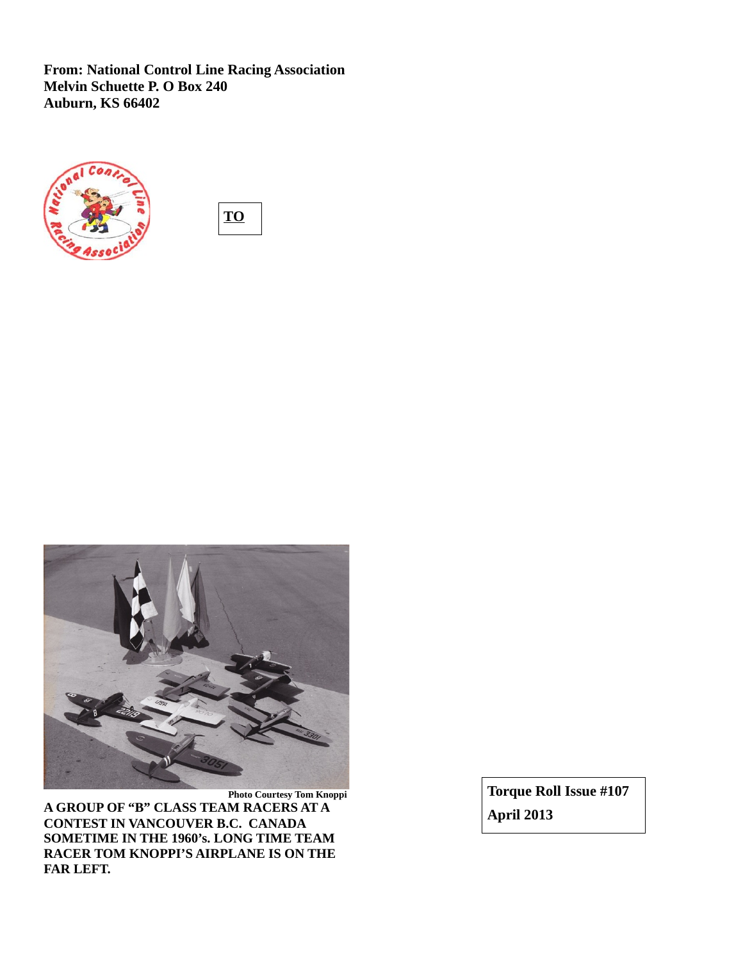**From: National Control Line Racing Association Melvin Schuette P. O Box 240 Auburn, KS 66402**







**A GROUP OF "B" CLASS TEAM RACERS AT A CONTEST IN VANCOUVER B.C. CANADA SOMETIME IN THE 1960's. LONG TIME TEAM RACER TOM KNOPPI'S AIRPLANE IS ON THE FAR LEFT.** 

**Torque Roll Issue #107 April 2013**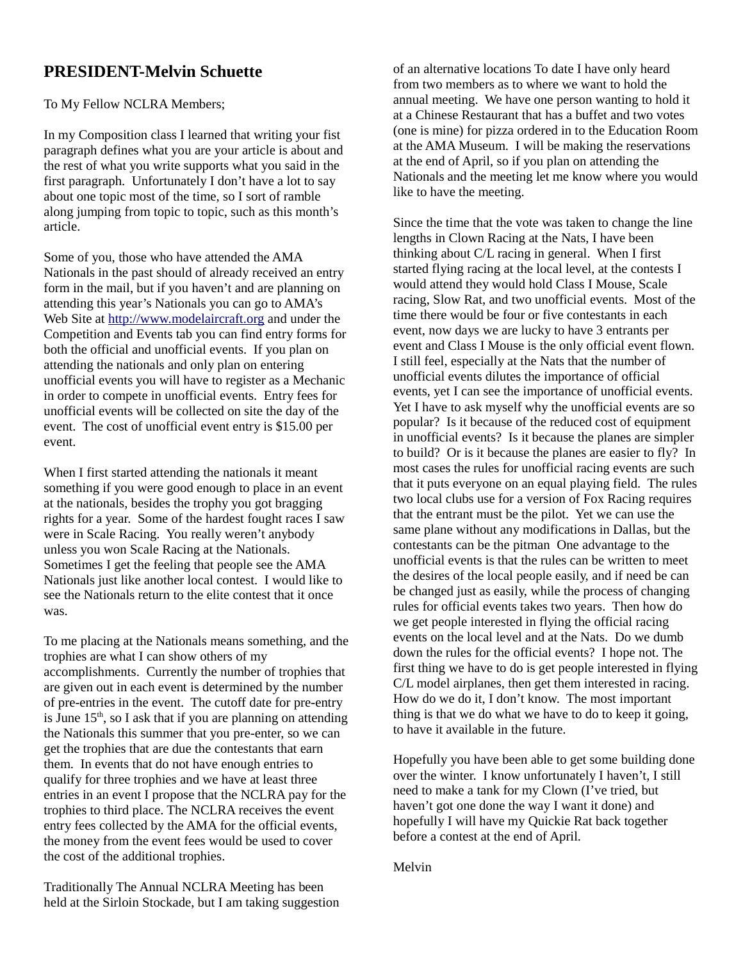# **PRESIDENT-Melvin Schuette**

To My Fellow NCLRA Members;

In my Composition class I learned that writing your fist paragraph defines what you are your article is about and the rest of what you write supports what you said in the first paragraph. Unfortunately I don't have a lot to say about one topic most of the time, so I sort of ramble along jumping from topic to topic, such as this month's article.

Some of you, those who have attended the AMA Nationals in the past should of already received an entry form in the mail, but if you haven't and are planning on attending this year's Nationals you can go to AMA's Web Site at [http://www.modelaircraft.org](http://www.modelaircraft.org/) and under the Competition and Events tab you can find entry forms for both the official and unofficial events. If you plan on attending the nationals and only plan on entering unofficial events you will have to register as a Mechanic in order to compete in unofficial events. Entry fees for unofficial events will be collected on site the day of the event. The cost of unofficial event entry is \$15.00 per event.

When I first started attending the nationals it meant something if you were good enough to place in an event at the nationals, besides the trophy you got bragging rights for a year. Some of the hardest fought races I saw were in Scale Racing. You really weren't anybody unless you won Scale Racing at the Nationals. Sometimes I get the feeling that people see the AMA Nationals just like another local contest. I would like to see the Nationals return to the elite contest that it once was.

To me placing at the Nationals means something, and the trophies are what I can show others of my accomplishments. Currently the number of trophies that are given out in each event is determined by the number of pre-entries in the event. The cutoff date for pre-entry is June  $15<sup>th</sup>$ , so I ask that if you are planning on attending the Nationals this summer that you pre-enter, so we can get the trophies that are due the contestants that earn them. In events that do not have enough entries to qualify for three trophies and we have at least three entries in an event I propose that the NCLRA pay for the trophies to third place. The NCLRA receives the event entry fees collected by the AMA for the official events, the money from the event fees would be used to cover the cost of the additional trophies.

Traditionally The Annual NCLRA Meeting has been held at the Sirloin Stockade, but I am taking suggestion

of an alternative locations To date I have only heard from two members as to where we want to hold the annual meeting. We have one person wanting to hold it at a Chinese Restaurant that has a buffet and two votes (one is mine) for pizza ordered in to the Education Room at the AMA Museum. I will be making the reservations at the end of April, so if you plan on attending the Nationals and the meeting let me know where you would like to have the meeting.

Since the time that the vote was taken to change the line lengths in Clown Racing at the Nats, I have been thinking about C/L racing in general. When I first started flying racing at the local level, at the contests I would attend they would hold Class I Mouse, Scale racing, Slow Rat, and two unofficial events. Most of the time there would be four or five contestants in each event, now days we are lucky to have 3 entrants per event and Class I Mouse is the only official event flown. I still feel, especially at the Nats that the number of unofficial events dilutes the importance of official events, yet I can see the importance of unofficial events. Yet I have to ask myself why the unofficial events are so popular? Is it because of the reduced cost of equipment in unofficial events? Is it because the planes are simpler to build? Or is it because the planes are easier to fly? In most cases the rules for unofficial racing events are such that it puts everyone on an equal playing field. The rules two local clubs use for a version of Fox Racing requires that the entrant must be the pilot. Yet we can use the same plane without any modifications in Dallas, but the contestants can be the pitman One advantage to the unofficial events is that the rules can be written to meet the desires of the local people easily, and if need be can be changed just as easily, while the process of changing rules for official events takes two years. Then how do we get people interested in flying the official racing events on the local level and at the Nats. Do we dumb down the rules for the official events? I hope not. The first thing we have to do is get people interested in flying C/L model airplanes, then get them interested in racing. How do we do it, I don't know. The most important thing is that we do what we have to do to keep it going, to have it available in the future.

Hopefully you have been able to get some building done over the winter. I know unfortunately I haven't, I still need to make a tank for my Clown (I've tried, but haven't got one done the way I want it done) and hopefully I will have my Quickie Rat back together before a contest at the end of April.

Melvin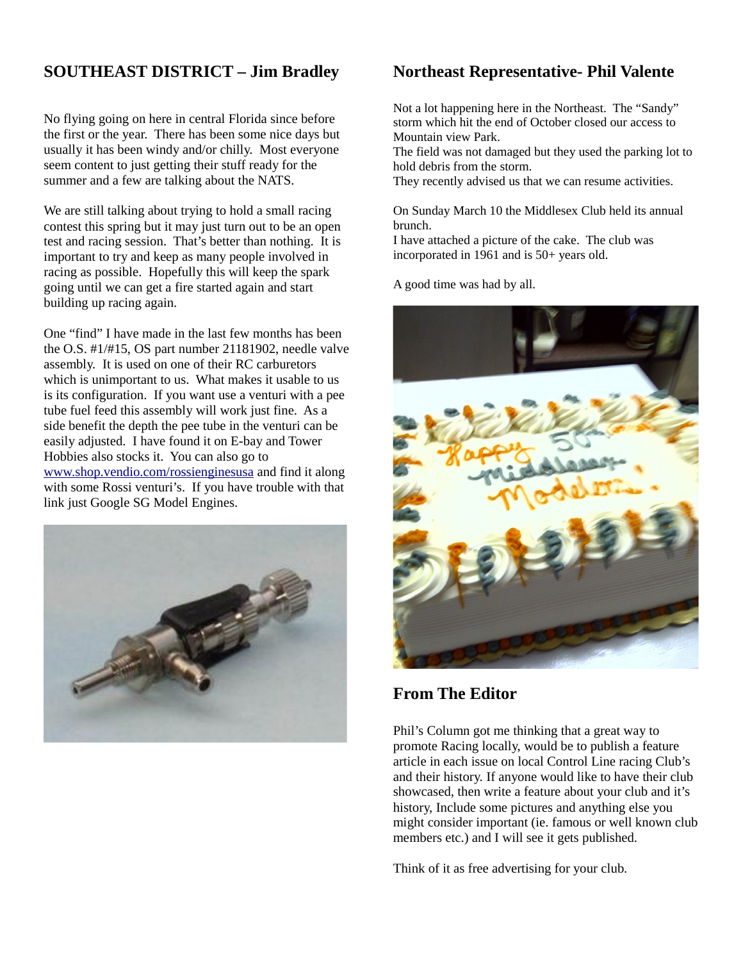# **SOUTHEAST DISTRICT – Jim Bradley**

No flying going on here in central Florida since before the first or the year. There has been some nice days but usually it has been windy and/or chilly. Most everyone seem content to just getting their stuff ready for the summer and a few are talking about the NATS.

We are still talking about trying to hold a small racing contest this spring but it may just turn out to be an open test and racing session. That's better than nothing. It is important to try and keep as many people involved in racing as possible. Hopefully this will keep the spark going until we can get a fire started again and start building up racing again.

One "find" I have made in the last few months has been the O.S. #1/#15, OS part number 21181902, needle valve assembly. It is used on one of their RC carburetors which is unimportant to us. What makes it usable to us is its configuration. If you want use a venturi with a pee tube fuel feed this assembly will work just fine. As a side benefit the depth the pee tube in the venturi can be easily adjusted. I have found it on E-bay and Tower Hobbies also stocks it. You can also go to [www.shop.vendio.com/rossienginesusa](http://www.shop.vendio.com/rossienginesusa) and find it along with some Rossi venturi's. If you have trouble with that link just Google SG Model Engines.



# **Northeast Representative- Phil Valente**

Not a lot happening here in the Northeast. The "Sandy" storm which hit the end of October closed our access to Mountain view Park.

The field was not damaged but they used the parking lot to hold debris from the storm.

They recently advised us that we can resume activities.

On Sunday March 10 the Middlesex Club held its annual brunch.

I have attached a picture of the cake. The club was incorporated in 1961 and is 50+ years old.

A good time was had by all.



**From The Editor**

Phil's Column got me thinking that a great way to promote Racing locally, would be to publish a feature article in each issue on local Control Line racing Club's and their history. If anyone would like to have their club showcased, then write a feature about your club and it's history, Include some pictures and anything else you might consider important (ie. famous or well known club members etc.) and I will see it gets published.

Think of it as free advertising for your club.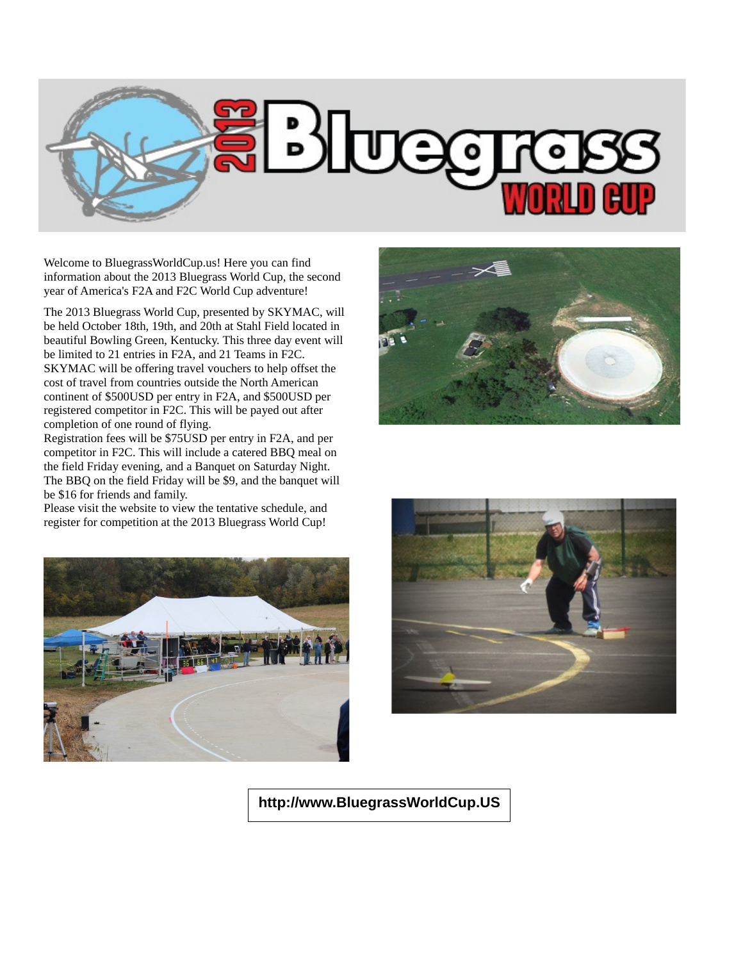

Welcome to BluegrassWorldCup.us! Here you can find information about the 2013 Bluegrass World Cup, the second year of America's F2A and F2C World Cup adventure!

The 2013 Bluegrass World Cup, presented by [SKYMAC,](http://www.skymacrc.com/) will be held October 18th, 19th, and 20th at Stahl Field located in beautiful Bowling Green, Kentucky. This three day event will be limited to 21 entries in F2A, and 21 Teams in F2C. SKYMAC will be offering travel vouchers to help offset the cost of travel from countries outside the North American continent of \$500USD per entry in F2A, and \$500USD per registered competitor in F2C. This will be payed out after completion of one round of flying.

Registration fees will be \$75USD per entry in F2A, and per competitor in F2C. This will include a catered BBQ meal on the field Friday evening, and a Banquet on Saturday Night. The BBQ on the field Friday will be \$9, and the banquet will be \$16 for friends and family.

Please visit the website to view the tentative schedule, and register for competition at the 2013 Bluegrass World Cup!







**http://www.BluegrassWorldCup.US**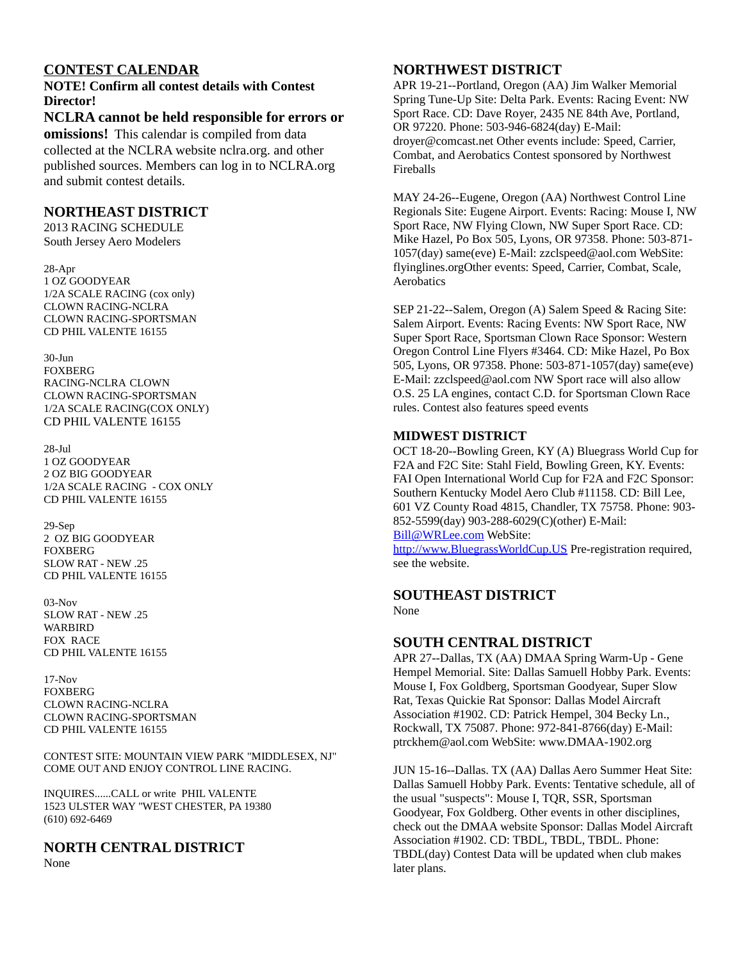# **CONTEST CALENDAR**

**NOTE! Confirm all contest details with Contest Director!**

**NCLRA cannot be held responsible for errors or omissions!** This calendar is compiled from data collected at the NCLRA website nclra.org. and other published sources. Members can log in to NCLRA.org and submit contest details.

# **NORTHEAST DISTRICT**

2013 RACING SCHEDULE South Jersey Aero Modelers

28-Apr 1 OZ GOODYEAR 1/2A SCALE RACING (cox only) CLOWN RACING-NCLRA CLOWN RACING-SPORTSMAN CD PHIL VALENTE 16155

30-Jun FOXBERG RACING-NCLRA CLOWN CLOWN RACING-SPORTSMAN 1/2A SCALE RACING(COX ONLY) CD PHIL VALENTE 16155

28-Jul 1 OZ GOODYEAR 2 OZ BIG GOODYEAR 1/2A SCALE RACING - COX ONLY CD PHIL VALENTE 16155

29-Sep 2 OZ BIG GOODYEAR FOXBERG SLOW RAT - NEW .25 CD PHIL VALENTE 16155

03-Nov SLOW RAT - NEW .25 WARBIRD FOX RACE CD PHIL VALENTE 16155

17-Nov FOXBERG CLOWN RACING-NCLRA CLOWN RACING-SPORTSMAN CD PHIL VALENTE 16155

CONTEST SITE: MOUNTAIN VIEW PARK "MIDDLESEX, NJ" COME OUT AND ENJOY CONTROL LINE RACING.

INQUIRES......CALL or write PHIL VALENTE 1523 ULSTER WAY "WEST CHESTER, PA 19380 (610) 692-6469

**NORTH CENTRAL DISTRICT** None

# **NORTHWEST DISTRICT**

APR 19-21--Portland, Oregon (AA) Jim Walker Memorial Spring Tune-Up Site: Delta Park. Events: Racing Event: NW Sport Race. CD: Dave Royer, 2435 NE 84th Ave, Portland, OR 97220. Phone: 503-946-6824(day) E-Mail: droyer@comcast.net Other events include: Speed, Carrier, Combat, and Aerobatics Contest sponsored by Northwest Fireballs

MAY 24-26--Eugene, Oregon (AA) Northwest Control Line Regionals Site: Eugene Airport. Events: Racing: Mouse I, NW Sport Race, NW Flying Clown, NW Super Sport Race. CD: Mike Hazel, Po Box 505, Lyons, OR 97358. Phone: 503-871- 1057(day) same(eve) E-Mail: zzclspeed@aol.com WebSite: flyinglines.orgOther events: Speed, Carrier, Combat, Scale, **Aerobatics** 

SEP 21-22--Salem, Oregon (A) Salem Speed & Racing Site: Salem Airport. Events: Racing Events: NW Sport Race, NW Super Sport Race, Sportsman Clown Race Sponsor: Western Oregon Control Line Flyers #3464. CD: Mike Hazel, Po Box 505, Lyons, OR 97358. Phone: 503-871-1057(day) same(eve) E-Mail: zzclspeed@aol.com NW Sport race will also allow O.S. 25 LA engines, contact C.D. for Sportsman Clown Race rules. Contest also features speed events

# **MIDWEST DISTRICT**

OCT 18-20--Bowling Green, KY (A) Bluegrass World Cup for F2A and F2C Site: Stahl Field, Bowling Green, KY. Events: FAI Open International World Cup for F2A and F2C Sponsor: Southern Kentucky Model Aero Club #11158. CD: Bill Lee, 601 VZ County Road 4815, Chandler, TX 75758. Phone: 903- 852-5599(day) 903-288-6029(C)(other) E-Mail: [Bill@WRLee.com](mailto:Bill@WRLee.com) WebSite:

[http://www.BluegrassWorldCup.US](http://www.BluegrassWorldCup.US/) Pre-registration required, see the website.

# **SOUTHEAST DISTRICT**

None

# **SOUTH CENTRAL DISTRICT**

APR 27--Dallas, TX (AA) DMAA Spring Warm-Up - Gene Hempel Memorial. Site: Dallas Samuell Hobby Park. Events: Mouse I, Fox Goldberg, Sportsman Goodyear, Super Slow Rat, Texas Quickie Rat Sponsor: Dallas Model Aircraft Association #1902. CD: Patrick Hempel, 304 Becky Ln., Rockwall, TX 75087. Phone: 972-841-8766(day) E-Mail: ptrckhem@aol.com WebSite: www.DMAA-1902.org

JUN 15-16--Dallas. TX (AA) Dallas Aero Summer Heat Site: Dallas Samuell Hobby Park. Events: Tentative schedule, all of the usual "suspects": Mouse I, TQR, SSR, Sportsman Goodyear, Fox Goldberg. Other events in other disciplines, check out the DMAA website Sponsor: Dallas Model Aircraft Association #1902. CD: TBDL, TBDL, TBDL. Phone: TBDL(day) Contest Data will be updated when club makes later plans.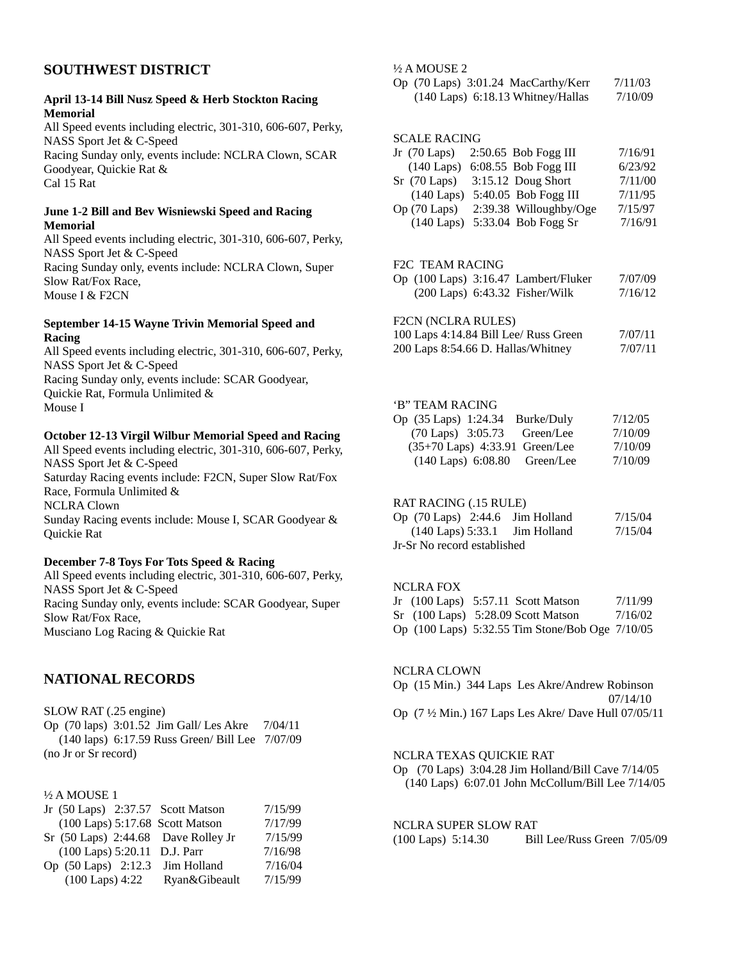# **SOUTHWEST DISTRICT**

#### **April 13-14 Bill Nusz Speed & Herb Stockton Racing Memorial**

All Speed events including electric, 301-310, 606-607, Perky, NASS Sport Jet & C-Speed Racing Sunday only, events include: NCLRA Clown, SCAR Goodyear, Quickie Rat & Cal 15 Rat

#### **June 1-2 Bill and Bev Wisniewski Speed and Racing Memorial**

All Speed events including electric, 301-310, 606-607, Perky, NASS Sport Jet & C-Speed Racing Sunday only, events include: NCLRA Clown, Super Slow Rat/Fox Race, Mouse I & F2CN

#### **September 14-15 Wayne Trivin Memorial Speed and Racing**

All Speed events including electric, 301-310, 606-607, Perky, NASS Sport Jet & C-Speed Racing Sunday only, events include: SCAR Goodyear, Quickie Rat, Formula Unlimited & Mouse I

#### **October 12-13 Virgil Wilbur Memorial Speed and Racing**

All Speed events including electric, 301-310, 606-607, Perky, NASS Sport Jet & C-Speed Saturday Racing events include: F2CN, Super Slow Rat/Fox Race, Formula Unlimited & NCLRA Clown Sunday Racing events include: Mouse I, SCAR Goodyear & Quickie Rat

#### **December 7-8 Toys For Tots Speed & Racing**

All Speed events including electric, 301-310, 606-607, Perky, NASS Sport Jet & C-Speed Racing Sunday only, events include: SCAR Goodyear, Super Slow Rat/Fox Race, Musciano Log Racing & Quickie Rat

# **NATIONAL RECORDS**

SLOW RAT (.25 engine)

Op (70 laps) 3:01.52 Jim Gall/ Les Akre 7/04/11 (140 laps) 6:17.59 Russ Green/ Bill Lee 7/07/09 (no Jr or Sr record)

### ½ A MOUSE 1

|                              | Jr (50 Laps) 2:37.57 Scott Matson   | 7/15/99 |
|------------------------------|-------------------------------------|---------|
|                              | (100 Laps) 5:17.68 Scott Matson     | 7/17/99 |
|                              | Sr (50 Laps) 2:44.68 Dave Rolley Jr | 7/15/99 |
| (100 Laps) 5:20.11 D.J. Parr |                                     | 7/16/98 |
| Op (50 Laps) 2:12.3          | Jim Holland                         | 7/16/04 |
| $(100$ Laps) $4:22$          | Ryan&Gibeault                       | 7/15/99 |

#### ½ A MOUSE 2

Op (70 Laps) 3:01.24 MacCarthy/Kerr 7/11/03 (140 Laps) 6:18.13 Whitney/Hallas 7/10/09

#### SCALE RACING

| Jr (70 Laps)          | 2:50.65 Bob Fogg III   | 7/16/91 |
|-----------------------|------------------------|---------|
| $(140$ Laps)          | 6:08.55 Bob Fogg III   | 6/23/92 |
| $Sr$ (70 Laps)        | 3:15.12 Doug Short     | 7/11/00 |
| $(140$ Laps)          | 5:40.05 Bob Fogg III   | 7/11/95 |
| $Op(70 \text{ Laps})$ | 2:39.38 Willoughby/Oge | 7/15/97 |
| $(140$ Laps)          | 5:33.04 Bob Fogg Sr    | 7/16/91 |
|                       |                        |         |

#### F2C TEAM RACING

|  | Op (100 Laps) 3:16.47 Lambert/Fluker | 7/07/09 |
|--|--------------------------------------|---------|
|  | $(200$ Laps) $6:43.32$ Fisher/Wilk   | 7/16/12 |

#### F2CN (NCLRA RULES)

| 100 Laps 4:14.84 Bill Lee/ Russ Green | 7/07/11 |
|---------------------------------------|---------|
| 200 Laps 8:54.66 D. Hallas/Whitney    | 7/07/11 |

#### 'B" TEAM RACING

| Op (35 Laps) 1:24.34<br>Burke/Duly | 7/12/05 |
|------------------------------------|---------|
| (70 Laps) 3:05.73 Green/Lee        | 7/10/09 |
| (35+70 Laps) 4:33.91 Green/Lee     | 7/10/09 |
| (140 Laps) 6:08.80 Green/Lee       | 7/10/09 |

#### RAT RACING (.15 RULE)

| Op $(70 \text{ Laps})$ 2:44.6 Jim Holland |  | 7/15/04 |  |  |
|-------------------------------------------|--|---------|--|--|
| $(140$ Laps) 5:33.1 Jim Holland           |  | 7/15/04 |  |  |
| Jr-Sr No record established               |  |         |  |  |

#### NCLRA FOX

|  | Jr (100 Laps) 5:57.11 Scott Matson              | 7/11/99 |
|--|-------------------------------------------------|---------|
|  | Sr (100 Laps) 5:28.09 Scott Matson              | 7/16/02 |
|  | Op (100 Laps) 5:32.55 Tim Stone/Bob Oge 7/10/05 |         |

#### NCLRA CLOWN

Op (15 Min.) 344 Laps Les Akre/Andrew Robinson 07/14/10 Op (7 ½ Min.) 167 Laps Les Akre/ Dave Hull 07/05/11

## NCLRA TEXAS QUICKIE RAT

Op (70 Laps) 3:04.28 Jim Holland/Bill Cave 7/14/05 (140 Laps) 6:07.01 John McCollum/Bill Lee 7/14/05

# NCLRA SUPER SLOW RAT

(100 Laps) 5:14.30 Bill Lee/Russ Green 7/05/09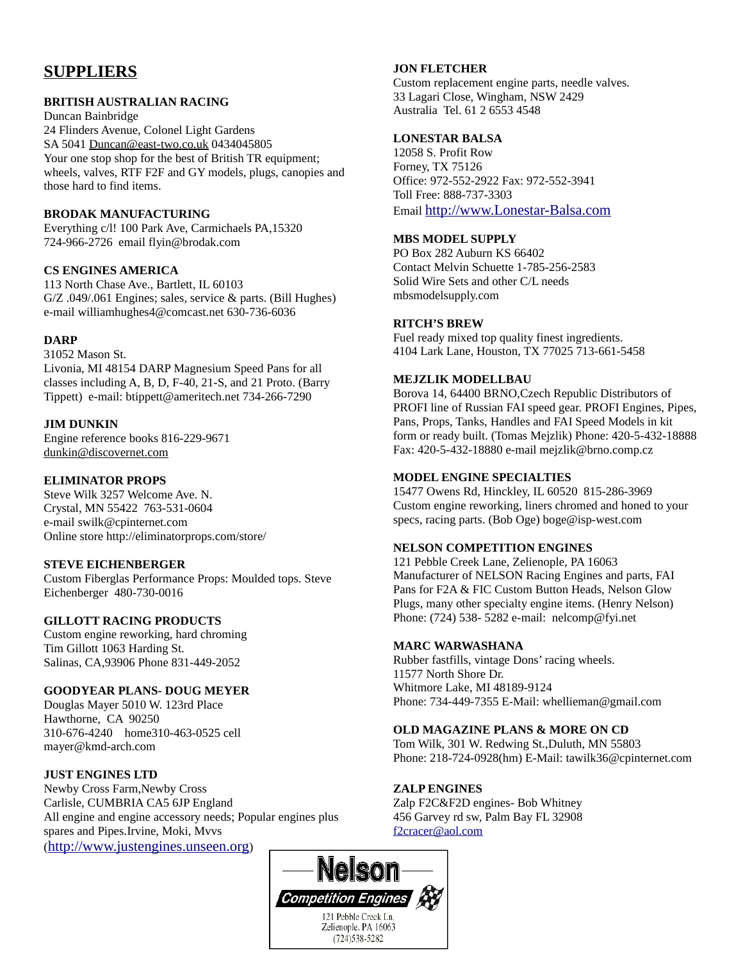# **SUPPLIERS**

### **BRITISH AUSTRALIAN RACING**

Duncan Bainbridge

24 Flinders Avenue, Colonel Light Gardens SA 5041 [Duncan@east-two.co.uk](mailto:Duncan@east-two.co.uk) 0434045805 Your one stop shop for the best of British TR equipment; wheels, valves, RTF F2F and GY models, plugs, canopies and those hard to find items.

## **BRODAK MANUFACTURING**

Everything c/l! 100 Park Ave, Carmichaels PA,15320 724-966-2726 email flyin@brodak.com

# **CS ENGINES AMERICA**

113 North Chase Ave., Bartlett, IL 60103 G/Z .049/.061 Engines; sales, service & parts. (Bill Hughes) e-mail williamhughes4@comcast.net 630-736-6036

# **DARP**

31052 Mason St. Livonia, MI 48154 DARP Magnesium Speed Pans for all classes including A, B, D, F-40, 21-S, and 21 Proto. (Barry Tippett) e-mail: btippett@ameritech.net 734-266-7290

# **JIM DUNKIN**

Engine reference books 816-229-9671 [dunkin@discovernet.com](mailto:dunkin@discovernet.com)

## **ELIMINATOR PROPS**

Steve Wilk 3257 Welcome Ave. N. Crystal, MN 55422 763-531-0604 e-mail swilk@cpinternet.com Online store http://eliminatorprops.com/store/

# **STEVE EICHENBERGER**

Custom Fiberglas Performance Props: Moulded tops. Steve Eichenberger 480-730-0016

# **GILLOTT RACING PRODUCTS**

Custom engine reworking, hard chroming Tim Gillott 1063 Harding St. Salinas, CA,93906 Phone 831-449-2052

# **GOODYEAR PLANS- DOUG MEYER**

Douglas Mayer 5010 W. 123rd Place Hawthorne, CA 90250 310-676-4240 home310-463-0525 cell mayer@kmd-arch.com

# **JUST ENGINES LTD**

Newby Cross Farm,Newby Cross Carlisle, CUMBRIA CA5 6JP England All engine and engine accessory needs; Popular engines plus spares and Pipes.Irvine, Moki, Mvvs ([http://www.justengines.unseen.org](http://www.justengines.unseen.org/))

## **JON FLETCHER**

Custom replacement engine parts, needle valves. 33 Lagari Close, Wingham, NSW 2429 Australia Tel. 61 2 6553 4548

# **LONESTAR BALSA**

12058 S. Profit Row Forney, TX 75126 Office: 972-552-2922 Fax: 972-552-3941 Toll Free: 888-737-3303 Email [http://www.Lonestar-Balsa.com](http://www.Lonestar-Balsa.com/)

## **MBS MODEL SUPPLY**

PO Box 282 Auburn KS 66402 Contact Melvin Schuette 1-785-256-2583 Solid Wire Sets and other C/L needs mbsmodelsupply.com

# **RITCH'S BREW**

Fuel ready mixed top quality finest ingredients. 4104 Lark Lane, Houston, TX 77025 713-661-5458

## **MEJZLIK MODELLBAU**

Borova 14, 64400 BRNO,Czech Republic Distributors of PROFI line of Russian FAI speed gear. PROFI Engines, Pipes, Pans, Props, Tanks, Handles and FAI Speed Models in kit form or ready built. (Tomas Mejzlik) Phone: 420-5-432-18888 Fax: 420-5-432-18880 e-mail mejzlik@brno.comp.cz

### **MODEL ENGINE SPECIALTIES**

15477 Owens Rd, Hinckley, IL 60520 815-286-3969 Custom engine reworking, liners chromed and honed to your specs, racing parts. (Bob Oge) boge@isp-west.com

# **NELSON COMPETITION ENGINES**

121 Pebble Creek Lane, Zelienople, PA 16063 Manufacturer of NELSON Racing Engines and parts, FAI Pans for F2A & FIC Custom Button Heads, Nelson Glow Plugs, many other specialty engine items. (Henry Nelson) Phone: (724) 538- 5282 e-mail: nelcomp@fyi.net

#### **MARC WARWASHANA**

Rubber fastfills, vintage Dons' racing wheels. 11577 North Shore Dr. Whitmore Lake, MI 48189-9124 Phone: 734-449-7355 E-Mail: whellieman@gmail.com

# **OLD MAGAZINE PLANS & MORE ON CD**

Tom Wilk, 301 W. Redwing St.,Duluth, MN 55803 Phone: 218-724-0928(hm) E-Mail: tawilk36@cpinternet.com

# **ZALP ENGINES**

Zalp F2C&F2D engines- Bob Whitney 456 Garvey rd sw, Palm Bay FL 32908 [f2cracer@aol.com](mailto:f2cracer@aol.com)